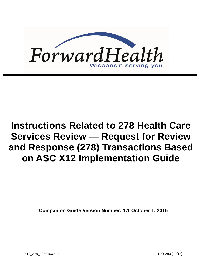

# **Instructions Related to 278 Health Care Services Review — Request for Review and Response (278) Transactions Based on ASC X12 Implementation Guide**

**Companion Guide Version Number: 1.1 October 1, 2015**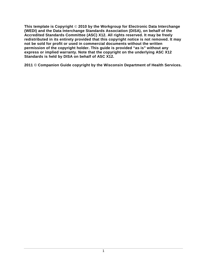**This template is Copyright** © **2010 by the Workgroup for Electronic Data Interchange (WEDI) and the Data Interchange Standards Association (DISA), on behalf of the Accredited Standards Committee (ASC) X12. All rights reserved. It may be freely redistributed in its entirety provided that this copyright notice is not removed. It may not be sold for profit or used in commercial documents without the written permission of the copyright holder. This guide is provided "as is" without any express or implied warranty. Note that the copyright on the underlying ASC X12 Standards is held by DISA on behalf of ASC X12.**

**2011** © **Companion Guide copyright by the Wisconsin Department of Health Services.**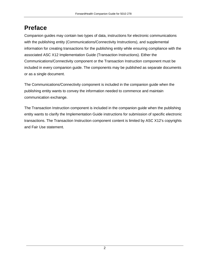# **Preface**

Companion guides may contain two types of data, instructions for electronic communications with the publishing entity (Communications/Connectivity Instructions), and supplemental information for creating transactions for the publishing entity while ensuring compliance with the associated ASC X12 Implementation Guide (Transaction Instructions). Either the Communications/Connectivity component or the Transaction Instruction component must be included in every companion guide. The components may be published as separate documents or as a single document.

The Communications/Connectivity component is included in the companion guide when the publishing entity wants to convey the information needed to commence and maintain communication exchange.

The Transaction Instruction component is included in the companion guide when the publishing entity wants to clarify the Implementation Guide instructions for submission of specific electronic transactions. The Transaction Instruction component content is limited by ASC X12's copyrights and Fair Use statement.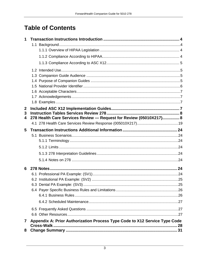# **Table of Contents**

| 1                |                                                                            |  |
|------------------|----------------------------------------------------------------------------|--|
|                  |                                                                            |  |
|                  |                                                                            |  |
|                  |                                                                            |  |
|                  |                                                                            |  |
|                  |                                                                            |  |
|                  |                                                                            |  |
|                  |                                                                            |  |
|                  |                                                                            |  |
|                  |                                                                            |  |
|                  |                                                                            |  |
|                  |                                                                            |  |
| $\boldsymbol{2}$ |                                                                            |  |
| 3                |                                                                            |  |
| 4                | 278 Health Care Services Review - Request for Review (05010X217) 8         |  |
|                  |                                                                            |  |
| 5                |                                                                            |  |
|                  |                                                                            |  |
|                  |                                                                            |  |
|                  |                                                                            |  |
|                  |                                                                            |  |
|                  |                                                                            |  |
| 6                |                                                                            |  |
|                  |                                                                            |  |
|                  |                                                                            |  |
|                  |                                                                            |  |
|                  |                                                                            |  |
|                  |                                                                            |  |
|                  |                                                                            |  |
|                  |                                                                            |  |
|                  |                                                                            |  |
| $\mathbf 7$      | Appendix A: Prior Authorization Process Type Code to X12 Service Type Code |  |
| 8                |                                                                            |  |
|                  |                                                                            |  |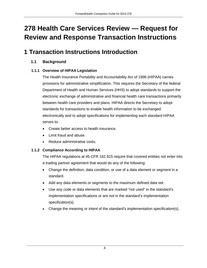# **278 Health Care Services Review — Request for Review and Response Transaction Instructions**

# <span id="page-4-0"></span>**1 Transaction Instructions Introduction**

### <span id="page-4-1"></span>**1.1 Background**

### <span id="page-4-2"></span>**1.1.1 Overview of HIPAA Legislation**

The Health Insurance Portability and Accountability Act of 1996 (HIPAA) carries provisions for administrative simplification. This requires the Secretary of the federal Department of Health and Human Services (HHS) to adopt standards to support the electronic exchange of administrative and financial health care transactions primarily between health care providers and plans. HIPAA directs the Secretary to adopt standards for transactions to enable health information to be exchanged electronically and to adopt specifications for implementing each standard HIPAA serves to:

- Create better access to health insurance.
- Limit fraud and abuse.
- Reduce administrative costs.

### <span id="page-4-3"></span>**1.1.2 Compliance According to HIPAA**

The HIPAA regulations at 45 CFR 162.915 require that covered entities not enter into a trading partner agreement that would do any of the following:

- Change the definition, data condition, or use of a data element or segment in a standard.
- Add any data elements or segments to the maximum defined data set.
- Use any code or data elements that are marked "not used" in the standard's implementation specifications or are not in the standard's implementation specification(s).
- Change the meaning or intent of the standard's implementation specification(s).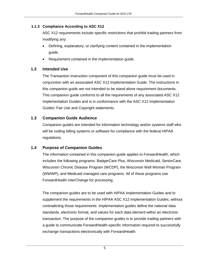#### <span id="page-5-0"></span>**1.1.3 Compliance According to ASC X12**

ASC X12 requirements include specific restrictions that prohibit trading partners from modifying any:

- Defining, explanatory, or clarifying content contained in the implementation guide.
- Requirement contained in the implementation guide.

### <span id="page-5-1"></span>**1.2 Intended Use**

The Transaction Instruction component of this companion guide must be used in conjunction with an associated ASC X12 Implementation Guide. The instructions in this companion guide are not intended to be stand-alone requirement documents. This companion guide conforms to all the requirements of any associated ASC X12 Implementation Guides and is in conformance with the ASC X12 Implementation Guides' Fair Use and Copyright statements.

### <span id="page-5-2"></span>**1.3 Companion Guide Audience**

Companion guides are intended for information technology and/or systems staff who will be coding billing systems or software for compliance with the federal HIPAA regulations.

### <span id="page-5-3"></span>**1.4 Purpose of Companion Guides**

The information contained in this companion guide applies to ForwardHealth, which includes the following programs: BadgerCare Plus, Wisconsin Medicaid, SeniorCare, Wisconsin Chronic Disease Program (WCDP), the Wisconsin Well Woman Program (WWWP), and Medicaid managed care programs. All of these programs use ForwardHealth interChange for processing.

The companion guides are to be used with HIPAA Implementation Guides and to supplement the requirements in the HIPAA ASC X12 Implementation Guides, without contradicting those requirements. Implementation guides define the national data standards, electronic format, and values for each data element within an electronic transaction. The purpose of the companion guides is to provide trading partners with a guide to communicate ForwardHealth-specific information required to successfully exchange transactions electronically with ForwardHealth.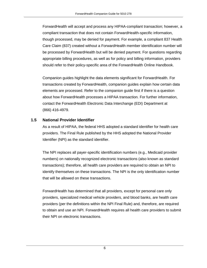ForwardHealth will accept and process any HIPAA-compliant transaction; however, a compliant transaction that does not contain ForwardHealth-specific information, though processed, may be denied for payment. For example, a compliant 837 Health Care Claim (837) created without a ForwardHealth member identification number will be processed by ForwardHealth but will be denied payment. For questions regarding appropriate billing procedures, as well as for policy and billing information, providers should refer to their policy-specific area of the ForwardHealth Online Handbook.

Companion guides highlight the data elements significant for ForwardHealth. For transactions created by ForwardHealth, companion guides explain how certain data elements are processed. Refer to the companion guide first if there is a question about how ForwardHealth processes a HIPAA transaction. For further information, contact the ForwardHealth Electronic Data Interchange (EDI) Department at (866) 416-4979.

### <span id="page-6-0"></span>**1.5 National Provider Identifier**

As a result of HIPAA, the federal HHS adopted a standard identifier for health care providers. The Final Rule published by the HHS adopted the National Provider Identifier (NPI) as the standard identifier.

The NPI replaces all payer-specific identification numbers (e.g., Medicaid provider numbers) on nationally recognized electronic transactions (also known as standard transactions); therefore, all health care providers are required to obtain an NPI to identify themselves on these transactions. The NPI is the only identification number that will be allowed on these transactions.

ForwardHealth has determined that all providers, except for personal care only providers, specialized medical vehicle providers, and blood banks, are health care providers (per the definitions within the NPI Final Rule) and, therefore, are required to obtain and use an NPI. ForwardHealth requires all health care providers to submit their NPI on electronic transactions.

6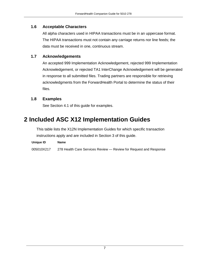### <span id="page-7-0"></span>**1.6 Acceptable Characters**

All alpha characters used in HIPAA transactions must be in an uppercase format. The HIPAA transactions must not contain any carriage returns nor line feeds; the data must be received in one, continuous stream.

### <span id="page-7-1"></span>**1.7 Acknowledgements**

An accepted 999 Implementation Acknowledgement, rejected 999 Implementation Acknowledgement, or rejected TA1 InterChange Acknowledgement will be generated in response to all submitted files. Trading partners are responsible for retrieving acknowledgments from the ForwardHealth Portal to determine the status of their files.

### <span id="page-7-2"></span>**1.8 Examples**

See Section 4.1 of this guide for examples.

### <span id="page-7-3"></span>**2 Included ASC X12 Implementation Guides**

This table lists the X12N Implementation Guides for which specific transaction instructions apply and are included in Section 3 of this guide.

| Unique ID | <b>Name</b> |
|-----------|-------------|
|           |             |

005010X217 278 Health Care Services Review — Review for Request and Response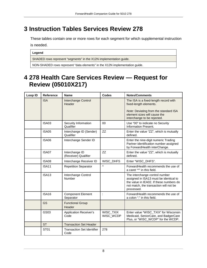# <span id="page-8-0"></span>**3 Instruction Tables Services Review 278**

These tables contain one or more rows for each segment for which supplemental instruction is needed.

#### **Legend**

SHADED rows represent "segments" in the X12N implementation guide.

NON-SHADED rows represent "data elements" in the X12N implementation guide.

### <span id="page-8-1"></span>**4 278 Health Care Services Review — Request for Review (05010X217)**

| Loop ID | <b>Reference</b> | <b>Name</b>                               | <b>Codes</b>           | <b>Notes/Comments</b>                                                                                                                                                       |
|---------|------------------|-------------------------------------------|------------------------|-----------------------------------------------------------------------------------------------------------------------------------------------------------------------------|
|         | <b>ISA</b>       | Interchange Control<br>Header             |                        | The ISA is a fixed-length record with<br>fixed-length elements.<br>Note: Deviating from the standard ISA<br>element sizes will cause the<br>interchange to be rejected.     |
|         | ISA03            | Security Information<br>Qualifier         | 00                     | Use "00" to indicate no Security<br>Information Present.                                                                                                                    |
|         | <b>ISA05</b>     | Interchange ID (Sender)<br>Qualifier      | ZZ                     | Enter the value "ZZ", which is mutually<br>defined.                                                                                                                         |
|         | <b>ISA06</b>     | Interchange Sender ID                     |                        | Enter the nine-digit numeric Trading<br>Partner identification number assigned<br>by ForwardHealth interChange.                                                             |
|         | ISA07            | Interchange ID<br>(Receiver) Qualifier    | <b>ZZ</b>              | Enter the value "ZZ", which is mutually<br>defined.                                                                                                                         |
|         | <b>ISA08</b>     | Interchange Receiver ID                   | WISC_DHFS              | Enter "WISC_DHFS".                                                                                                                                                          |
|         | <b>ISA11</b>     | <b>Repetition Separator</b>               | $\wedge$               | ForwardHealth recommends the use of<br>a caret "^" in this field.                                                                                                           |
|         | <b>ISA13</b>     | Interchange Control<br>Number             |                        | The interchange control number<br>assigned in ISA13 must be identical to<br>the value in IEA02. If these numbers do<br>not match, the transaction will not be<br>processed. |
|         | <b>ISA16</b>     | <b>Component Element</b><br>Separator     | $\ddot{\phantom{a}}$   | ForwardHealth recommends the use of<br>a colon ":" in this field.                                                                                                           |
|         | GS               | <b>Functional Group</b><br>Header         |                        |                                                                                                                                                                             |
|         | GS03             | <b>Application Receiver's</b><br>Code     | WISC_TXIX<br>WISC_WCDP | Enter value "WISC_TXIX" for Wisconsin<br>Medicaid, SeniorCare, and BadgerCare<br>Plus, or "WISC_WCDP" for the WCDP.                                                         |
|         | <b>ST</b>        | <b>Transaction Set Header</b>             |                        |                                                                                                                                                                             |
|         | <b>ST01</b>      | <b>Transaction Set Identifier</b><br>Code | 278                    |                                                                                                                                                                             |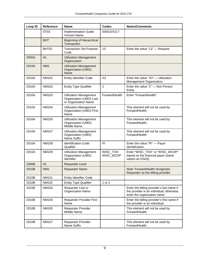| Loop ID | <b>Reference</b> | <b>Name</b>                                                                      | <b>Codes</b>           | <b>Notes/Comments</b>                                                                                                  |
|---------|------------------|----------------------------------------------------------------------------------|------------------------|------------------------------------------------------------------------------------------------------------------------|
|         | ST <sub>03</sub> | <b>Implementation Guide</b><br><b>Version Name</b>                               | 005010X217             |                                                                                                                        |
|         | <b>BHT</b>       | <b>Beginning of Hierarchical</b><br>Transaction                                  |                        |                                                                                                                        |
|         | BHT02            | <b>Transaction Set Purpose</b><br>Code                                           | 13                     | Enter the value "13" - Request.                                                                                        |
| 2000A   | <b>HL</b>        | <b>Utilization Management</b><br>Organization                                    |                        |                                                                                                                        |
| 2010A   | NM <sub>1</sub>  | <b>Utilization Management</b><br>Organization (UMO)<br>Name                      |                        |                                                                                                                        |
| 2010A   | <b>NM101</b>     | <b>Entity Identifier Code</b>                                                    | X <sub>3</sub>         | Enter the value "X3" - Utilization<br>Management Organization.                                                         |
| 2010A   | NM102            | <b>Entity Type Qualifier</b>                                                     | $\overline{c}$         | Enter the value "2" - Non-Person<br>Entity.                                                                            |
| 2010A   | NM103            | <b>Utilization Management</b><br>Organization (UMO) Last<br>or Organization Name | ForwardHealth          | Enter "ForwardHealth".                                                                                                 |
| 2010A   | <b>NM104</b>     | <b>Utilization Management</b><br>Organization (UMO) First<br>Name                |                        | This element will not be used by<br>ForwardHealth.                                                                     |
| 2010A   | NM105            | <b>Utilization Management</b><br>Organization (UMO)<br>Middle Name               |                        | This element will not be used by<br>ForwardHealth.                                                                     |
| 2010A   | <b>NM107</b>     | <b>Utilization Management</b><br>Organization (UMO)<br>Name Suffix               |                        | This element will not be used by<br>ForwardHealth.                                                                     |
| 2010A   | <b>NM108</b>     | <b>Identification Code</b><br>Qualifier                                          | PI                     | Enter the value "Pl" - Payor<br>Identification.                                                                        |
| 2010A   | NM109            | <b>Utilization Management</b><br>Organization (UMO)<br>Identifier                | WISC_TXIX<br>WISC_WCDP | Enter "WISC_TXIX" or "WISC_WCDP"<br>based on the financial payer (same<br>values as GS03).                             |
| 2000B   | <b>HL</b>        | Requester Level                                                                  |                        |                                                                                                                        |
| 2010B   | NM <sub>1</sub>  | <b>Requester Name</b>                                                            |                        | Note: ForwardHealth recognizes<br>Requester as the billing provider.                                                   |
| 2010B   | <b>NM101</b>     | <b>Entity Identifier Code</b>                                                    |                        |                                                                                                                        |
| 2010B   | NM102            | <b>Entity Type Qualifier</b>                                                     | 1 or 2                 |                                                                                                                        |
| 2010B   | NM103            | Requester Last or<br><b>Organization Name</b>                                    |                        | Enter the billing provider's last name if<br>the provider is an individual; otherwise,<br>enter the organization name. |
| 2010B   | <b>NM104</b>     | Requester Provider First<br>Name                                                 |                        | Enter the billing provider's first name if<br>the provider is an individual.                                           |
| 2010B   | NM105            | <b>Requester Provider</b><br>Middle Name                                         |                        | This element will not be used by<br>ForwardHealth.                                                                     |
|         |                  |                                                                                  |                        |                                                                                                                        |
| 2010B   | <b>NM107</b>     | Requester Provider<br>Name Suffix                                                |                        | This element will not be used by<br>ForwardHealth.                                                                     |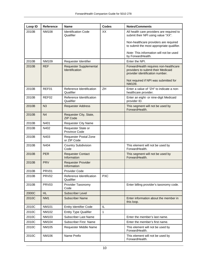| Loop ID | <b>Reference</b>  | <b>Name</b>                                     | Codes      | <b>Notes/Comments</b>                                                                                                                                   |
|---------|-------------------|-------------------------------------------------|------------|---------------------------------------------------------------------------------------------------------------------------------------------------------|
| 2010B   | <b>NM108</b>      | <b>Identification Code</b><br>Qualifier         | XX         | All health care providers are required to<br>submit their NPI using value "XX".                                                                         |
|         |                   |                                                 |            | Non-healthcare providers are required<br>to submit the most appropriate qualifier.                                                                      |
|         |                   |                                                 |            | Note: This information will not be used<br>by ForwardHealth.                                                                                            |
| 2010B   | NM109             | Requester Identifier                            |            | Enter the NPI.                                                                                                                                          |
| 2010B   | <b>REF</b>        | <b>Requester Supplemental</b><br>Identification |            | ForwardHealth requires non-healthcare<br>providers to submit their Medicaid<br>provider identification number.<br>Not required if NPI was submitted for |
|         |                   |                                                 |            | NM109.                                                                                                                                                  |
| 2010B   | REF01             | Reference Identification<br>Qualifier           | ZH         | Enter a value of "ZH" to indicate a non-<br>healthcare provider.                                                                                        |
| 2010B   | REF02             | Reference Identification<br>Qualifier           |            | Enter an eight- or nine-digit Medicaid<br>provider ID.                                                                                                  |
| 2010B   | N <sub>3</sub>    | <b>Requester Address</b>                        |            | This segment will not be used by<br>ForwardHealth.                                                                                                      |
| 2010B   | N <sub>4</sub>    | Requester City, State,<br><b>ZIP Code</b>       |            |                                                                                                                                                         |
| 2010B   | N401              | <b>Requester City Name</b>                      |            |                                                                                                                                                         |
| 2010B   | N402              | Requester State or<br>Province Code             |            |                                                                                                                                                         |
| 2010B   | N403              | Requester Postal Zone<br>or ZIP Code            |            |                                                                                                                                                         |
| 2010B   | N404              | <b>Country Subdivision</b><br>Code              |            | This element will not be used by<br>ForwardHealth.                                                                                                      |
| 2010B   | <b>PER</b>        | <b>Requester Contact</b><br>Information         |            | This segment will not be used by<br>ForwardHealth.                                                                                                      |
| 2010B   | <b>PRV</b>        | <b>Requester Provider</b><br>Information        |            |                                                                                                                                                         |
| 2010B   | PRV01             | <b>Provider Code</b>                            |            |                                                                                                                                                         |
| 2010B   | PRV <sub>02</sub> | Reference Identification<br>Qualifier           | <b>PXC</b> |                                                                                                                                                         |
| 2010B   | PRV03             | Provider Taxonomy<br>Code                       |            | Enter billing provider's taxonomy code.                                                                                                                 |
| 2000C   | <b>HL</b>         | <b>Subscriber Level</b>                         |            |                                                                                                                                                         |
| 2010C   | NM <sub>1</sub>   | <b>Subscriber Name</b>                          |            | Enter information about the member in<br>this loop.                                                                                                     |
| 2010C   | <b>NM101</b>      | <b>Entity Identifier Code</b>                   | IL         |                                                                                                                                                         |
| 2010C   | NM102             | <b>Entity Type Qualifier</b>                    | 1          |                                                                                                                                                         |
| 2010C   | NM103             | <b>Subscriber Last Name</b>                     |            | Enter the member's last name.                                                                                                                           |
| 2010C   | NM104             | <b>Subscriber First Name</b>                    |            | Enter the member's first name.                                                                                                                          |
| 2010C   | <b>NM105</b>      | Requester Middle Name                           |            | This element will not be used by<br>ForwardHealth.                                                                                                      |
| 2010C   | <b>NM106</b>      | Name Prefix                                     |            | This element will not be used by<br>ForwardHealth.                                                                                                      |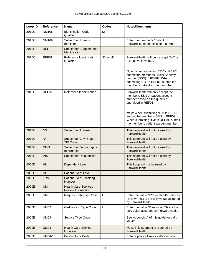| Loop ID | <b>Reference</b> | <b>Name</b>                                              | <b>Codes</b> | <b>Notes/Comments</b>                                                                                                                                                                                                                                                                       |
|---------|------------------|----------------------------------------------------------|--------------|---------------------------------------------------------------------------------------------------------------------------------------------------------------------------------------------------------------------------------------------------------------------------------------------|
| 2010C   | <b>NM108</b>     | <b>Identification Code</b><br>Qualifier                  | MI           |                                                                                                                                                                                                                                                                                             |
| 2010C   | NM109            | <b>Subscriber Primary</b><br>Identifier                  |              | Enter the member's 10-digit<br>ForwardHealth identification number.                                                                                                                                                                                                                         |
| 2010C   | <b>REF</b>       | Subscriber Supplemental<br>Identification                |              |                                                                                                                                                                                                                                                                                             |
| 2010C   | REF01            | Reference Identification<br>Qualifier                    | SY or HJ     | ForwardHealth will only accept "SY" or<br>"HJ" as valid values.<br>Note: When submitting "SY" in REF01,<br>submit the member's Social Security<br>number (SSN) in REF02. When<br>submitting "HJ" in REF01, submit the<br>member's patient account number.                                   |
| 2010C   | REF02            | Reference Identification                                 |              | ForwardHealth will only accept the<br>member's SSN or patient account<br>number based on the qualifier<br>submitted in REF01.<br>Note: When submitting "SY" in REF01,<br>submit the member's SSN in REF02.<br>When submitting "HJ" in REF01, submit<br>the member's patient account number. |
| 2010C   | N3               | <b>Subscriber Address</b>                                |              | This segment will not be used by<br>ForwardHealth.                                                                                                                                                                                                                                          |
| 2010C   | N <sub>4</sub>   | Subscriber City, State,<br><b>ZIP Code</b>               |              | This segment will not be used by<br>ForwardHealth.                                                                                                                                                                                                                                          |
| 2010C   | <b>DMG</b>       | Subscriber Demographic<br>Information                    |              | This segment will not be used by<br>ForwardHealth.                                                                                                                                                                                                                                          |
| 2010C   | <b>INS</b>       | <b>Subscriber Relationship</b>                           |              | This segment will not be used by<br>ForwardHealth.                                                                                                                                                                                                                                          |
| 2000D   | <b>HL</b>        | <b>Dependent Level</b>                                   |              | This Loop will not be used by<br>ForwardHealth.                                                                                                                                                                                                                                             |
| 2000E   | <b>HL</b>        | <b>Patient Event Level</b>                               |              |                                                                                                                                                                                                                                                                                             |
| 2000E   | <b>TRN</b>       | <b>Patient Event Tracking</b><br><b>Number</b>           |              |                                                                                                                                                                                                                                                                                             |
| 2000E   | <b>UM</b>        | <b>Health Care Services</b><br><b>Review Information</b> |              |                                                                                                                                                                                                                                                                                             |
| 2000E   | <b>UM01</b>      | <b>Request Category Code</b>                             | <b>HS</b>    | Enter the value "HS" - Health Services<br>Review. This is the only value accepted<br>by ForwardHealth.                                                                                                                                                                                      |
| 2000E   | <b>UM02</b>      | <b>Certification Type Code</b>                           | $\mathsf{I}$ | Enter the value "I" - Initial. This is the<br>only value accepted by ForwardHealth.                                                                                                                                                                                                         |
| 2000E   | <b>UM03</b>      | Service Type Code                                        |              | See Appendix A of this guide for valid<br>values.                                                                                                                                                                                                                                           |
| 2000E   | <b>UM04</b>      | <b>Health Care Service</b><br>Location                   |              | Note: This segment is required by<br>ForwardHealth.                                                                                                                                                                                                                                         |
| 2000E   | <b>UM04-1</b>    | <b>Facility Type Code</b>                                |              | Enter a place of service (POS) code.                                                                                                                                                                                                                                                        |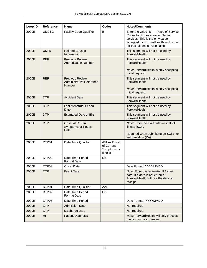| Loop ID | <b>Reference</b>  | <b>Name</b>                                                         | Codes                                                        | <b>Notes/Comments</b>                                                                                                                                                                       |
|---------|-------------------|---------------------------------------------------------------------|--------------------------------------------------------------|---------------------------------------------------------------------------------------------------------------------------------------------------------------------------------------------|
| 2000E   | <b>UM04-2</b>     | <b>Facility Code Qualifier</b>                                      | B                                                            | Enter the value "B" - Place of Service<br>Codes for Professional or Dental<br>services. This is the only value<br>accepted by ForwardHealth and is used<br>for Institutional services also. |
| 2000E   | <b>UM05</b>       | <b>Related Causes</b><br>Information                                |                                                              | This segment will not be used by<br>ForwardHealth.                                                                                                                                          |
| 2000E   | <b>REF</b>        | <b>Previous Review</b><br><b>Authorization Number</b>               |                                                              | This segment will not be used by<br>ForwardHealth.<br>Note: ForwardHealth is only accepting                                                                                                 |
|         |                   |                                                                     |                                                              | Initial request.                                                                                                                                                                            |
| 2000E   | <b>REF</b>        | <b>Previous Review</b><br><b>Administrative Reference</b><br>Number |                                                              | This segment will not be used by<br>ForwardHealth.                                                                                                                                          |
|         |                   |                                                                     |                                                              | Note: ForwardHealth is only accepting<br>Initial request.                                                                                                                                   |
| 2000E   | <b>DTP</b>        | <b>Accident Date</b>                                                |                                                              | This segment will not be used by<br>ForwardHealth.                                                                                                                                          |
| 2000E   | <b>DTP</b>        | <b>Last Menstrual Period</b><br>Date                                |                                                              | This segment will not be used by<br>ForwardHealth.                                                                                                                                          |
| 2000E   | <b>DTP</b>        | <b>Estimated Date of Birth</b>                                      |                                                              | This segment will not be used by<br>ForwardHealth.                                                                                                                                          |
| 2000E   | <b>DTP</b>        | <b>Onset of Current</b><br><b>Symptoms or Illness</b><br>Date       |                                                              | Note: Enter the start date - spell of<br>illness (SOI).                                                                                                                                     |
|         |                   |                                                                     |                                                              | Required when submitting an SOI prior<br>authorization (PA).                                                                                                                                |
| 2000E   | DTP01             | Date Time Qualifier                                                 | $431 -$ Onset<br>of Current<br>Symptoms or<br><b>Illness</b> |                                                                                                                                                                                             |
| 2000E   | DTP <sub>02</sub> | Date Time Period<br><b>Format Date</b>                              | D <sub>8</sub>                                               |                                                                                                                                                                                             |
| 2000E   | DTP03             | <b>Onset Date</b>                                                   |                                                              | Date Format: YYYYMMDD                                                                                                                                                                       |
| 2000E   | <b>DTP</b>        | Event Date                                                          |                                                              | Note: Enter the requested PA start<br>date. If a date is not entered,<br>ForwardHealth will use the date of<br>receipt.                                                                     |
| 2000E   | DTP01             | Date Time Qualifier                                                 | AAH                                                          |                                                                                                                                                                                             |
| 2000E   | DTP <sub>02</sub> | Date Time Period<br><b>Format Date</b>                              | D <sub>8</sub>                                               |                                                                                                                                                                                             |
| 2000E   | DTP03             | Date Time Period                                                    |                                                              | Date Format: YYYYMMDD                                                                                                                                                                       |
| 2000E   | <b>DTP</b>        | <b>Admission Date</b>                                               |                                                              | Not required.                                                                                                                                                                               |
| 2000E   | <b>DTP</b>        | Discharge Date                                                      |                                                              | Not required.                                                                                                                                                                               |
| 2000E   | HI                | <b>Patient Diagnosis</b>                                            |                                                              | Note: ForwardHealth will only process<br>the first two occurrences.                                                                                                                         |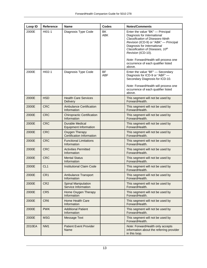| Loop ID | <b>Reference</b> | <b>Name</b>                                               | <b>Codes</b>            | <b>Notes/Comments</b>                                                                                                                                                                                                                        |
|---------|------------------|-----------------------------------------------------------|-------------------------|----------------------------------------------------------------------------------------------------------------------------------------------------------------------------------------------------------------------------------------------|
| 2000E   | HI01-1           | Diagnosis Type Code                                       | <b>BK</b><br>ABK        | Enter the value "BK" - Principal<br>Diagnosis for International<br><b>Classification of Diseases-Ninth</b><br>Revision (ICD-9) or "ABK" - Principal<br>Diagnosis for International<br>Classification of Diseases, 10th<br>Revision (ICD-10). |
|         |                  |                                                           |                         | Note: ForwardHealth will process one<br>occurrence of each qualifier listed<br>above.                                                                                                                                                        |
| 2000E   | HI02-1           | Diagnosis Type Code                                       | <b>BF</b><br><b>ABF</b> | Enter the value "BF" - Secondary<br>Diagnosis for ICD-9 or "ABF" -<br>Secondary Diagnosis for ICD-10.<br>Note: ForwardHealth will process one                                                                                                |
|         |                  |                                                           |                         | occurrence of each qualifier listed<br>above.                                                                                                                                                                                                |
| 2000E   | <b>HSD</b>       | <b>Health Care Services</b><br><b>Delivery</b>            |                         | This segment will not be used by<br>ForwardHealth.                                                                                                                                                                                           |
| 2000E   | <b>CRC</b>       | <b>Ambulance Certification</b><br>Information             |                         | This segment will not be used by<br>ForwardHealth.                                                                                                                                                                                           |
| 2000E   | <b>CRC</b>       | <b>Chiropractic Certification</b><br>Information          |                         | This segment will not be used by<br>ForwardHealth.                                                                                                                                                                                           |
| 2000E   | <b>CRC</b>       | <b>Durable Medical</b><br><b>Equipment Information</b>    |                         | This segment will not be used by<br>ForwardHealth.                                                                                                                                                                                           |
| 2000E   | <b>CRC</b>       | <b>Oxygen Therapy</b><br><b>Certification Information</b> |                         | This segment will not be used by<br>ForwardHealth.                                                                                                                                                                                           |
| 2000E   | <b>CRC</b>       | <b>Functional Limitations</b><br>Information              |                         | This segment will not be used by<br>ForwardHealth.                                                                                                                                                                                           |
| 2000E   | <b>CRC</b>       | <b>Activities Permitted</b><br>Information                |                         | This segment will not be used by<br>ForwardHealth.                                                                                                                                                                                           |
| 2000E   | <b>CRC</b>       | <b>Mental Status</b><br>Information                       |                         | This segment will not be used by<br>ForwardHealth.                                                                                                                                                                                           |
| 2000E   | CL <sub>1</sub>  | <b>Institutional Claim Code</b>                           |                         | This segment will not be used by<br>ForwardHealth.                                                                                                                                                                                           |
| 2000E   | CR1              | <b>Ambulance Transport</b><br>Information                 |                         | This segment will not be used by<br>ForwardHealth.                                                                                                                                                                                           |
| 2000E   | CR <sub>2</sub>  | <b>Spinal Manipulation</b><br>Service Information         |                         | This segment will not be used by<br>ForwardHealth.                                                                                                                                                                                           |
| 2000E   | CR <sub>5</sub>  | Home Oxygen Therapy<br>Information                        |                         | This segment will not be used by<br>ForwardHealth.                                                                                                                                                                                           |
| 2000E   | CR <sub>6</sub>  | Home Health Care<br>Information                           |                         | This segment will not be used by<br>ForwardHealth.                                                                                                                                                                                           |
| 2000E   | <b>PWK</b>       | <b>Additional Patient</b><br>Information                  |                         | This segment will not be used by<br>ForwardHealth.                                                                                                                                                                                           |
| 2000E   | <b>MSG</b>       | <b>Message Text</b>                                       |                         | This segment will not be used by<br>ForwardHealth.                                                                                                                                                                                           |
| 2010EA  | NM <sub>1</sub>  | <b>Patient Event Provider</b><br>Name                     |                         | Note: ForwardHealth only accepts<br>information about the referring provider<br>in this loop.                                                                                                                                                |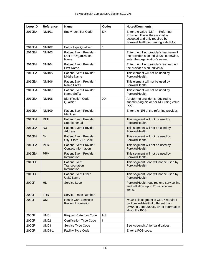| Loop ID            | <b>Reference</b> | <b>Name</b>                                                   | Codes     | <b>Notes/Comments</b>                                                                                                                        |
|--------------------|------------------|---------------------------------------------------------------|-----------|----------------------------------------------------------------------------------------------------------------------------------------------|
| 2010EA             | <b>NM101</b>     | <b>Entity Identifier Code</b>                                 | <b>DN</b> | Enter the value "DN" - Referring<br>Provider. This is the only value<br>accepted and only required by<br>ForwardHealth for hearing aide PAs. |
| 2010EA             | <b>NM102</b>     | <b>Entity Type Qualifier</b>                                  | 1         |                                                                                                                                              |
| 2010EA             | NM103            | <b>Patient Event Provider</b><br>Last or Organization<br>Name |           | Enter the billing provider's last name if<br>the provider is an individual; otherwise,<br>enter the organization's name.                     |
| 2010EA             | <b>NM104</b>     | <b>Patient Event Provider</b><br><b>First Name</b>            |           | Enter the billing provider's first name if<br>the provider is an individual.                                                                 |
| 2010EA             | <b>NM105</b>     | <b>Patient Event Provider</b><br>Middle Name                  |           | This element will not be used by<br>ForwardHealth.                                                                                           |
| 2010EA             | NM106            | <b>Patient Event Provider</b><br>Name Prefix                  |           | This element will not be used by<br>ForwardHealth.                                                                                           |
| 2010EA             | <b>NM107</b>     | <b>Patient Event Provider</b><br>Name Suffix                  |           | This element will not be used by<br>ForwardHealth.                                                                                           |
| 2010EA             | <b>NM108</b>     | <b>Identification Code</b><br>Qualifier                       | XX        | A referring provider is required to<br>submit using his or her NPI using value<br>"XX".                                                      |
| 2010EA             | NM109            | <b>Patient Event Provider</b><br>Identifier                   |           | Enter the NPI of the referring provider.                                                                                                     |
| 2010EA             | <b>REF</b>       | <b>Patient Event Provider</b><br>Supplemental                 |           | This segment will not be used by<br>ForwardHealth.                                                                                           |
| 2010EA             | N <sub>3</sub>   | <b>Patient Event Provider</b><br><b>Address</b>               |           | This segment will not be used by<br>ForwardHealth.                                                                                           |
| 2010EA             | N <sub>4</sub>   | <b>Patient Event Provider</b><br>City, State, ZIP Code        |           | This segment will not be used by<br>ForwardHealth.                                                                                           |
| 2010EA             | <b>PER</b>       | <b>Patient Event Provider</b><br><b>Contact Information</b>   |           | This segment will not be used by<br>ForwardHealth.                                                                                           |
| 2010EA             | <b>PRV</b>       | <b>Patient Event Provider</b><br>Information                  |           | This segment will not be used by<br>ForwardHealth.                                                                                           |
| 2010EB             |                  | <b>Patient Event</b><br>Transportation<br>Information         |           | This segment Loop will not be used by<br>ForwardHealth.                                                                                      |
| 2010 <sub>EC</sub> |                  | <b>Patient Event Other</b><br><b>UMO Name</b>                 |           | This segment Loop will not be used by<br>ForwardHealth.                                                                                      |
| 2000F              | HL.              | Service Level                                                 |           | ForwardHealth requires one service line<br>and will allow up to 26 service line<br>items.                                                    |
| 2000F              | <b>TRN</b>       | <b>Service Trace Number</b>                                   |           |                                                                                                                                              |
| 2000F              | <b>UM</b>        | <b>Health Care Services</b><br><b>Review Information</b>      |           | Note: This segment is ONLY required<br>by ForwardHealth if different than<br>UM04 in Loop 2000E. Enter information<br>about the POS.         |
| 2000F              | <b>UM01</b>      | <b>Request Category Code</b>                                  | <b>HS</b> |                                                                                                                                              |
| 2000F              | <b>UM02</b>      | <b>Certification Type Code</b>                                | I         |                                                                                                                                              |
| 2000F              | <b>UM03</b>      | Service Type Code                                             |           | See Appendix A for valid values.                                                                                                             |
| 2000F              | UM04-1           | Facility Type Code                                            |           | Enter a POS code.                                                                                                                            |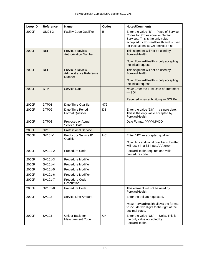| Loop ID | <b>Reference</b>  | <b>Name</b>                                                         | <b>Codes</b>   | <b>Notes/Comments</b>                                                                                                                                                                             |
|---------|-------------------|---------------------------------------------------------------------|----------------|---------------------------------------------------------------------------------------------------------------------------------------------------------------------------------------------------|
| 2000F   | <b>UM04-2</b>     | <b>Facility Code Qualifier</b>                                      | B              | Enter the value "B" - Place of Service<br>Codes for Professional or Dental<br>Services. This is the only value<br>accepted by ForwardHealth and is used<br>for Institutional (SV2) services also. |
| 2000F   | <b>REF</b>        | <b>Previous Review</b><br><b>Authorization Number</b>               |                | This segment will not be used by<br>ForwardHealth.                                                                                                                                                |
|         |                   |                                                                     |                | Note: ForwardHealth is only accepting<br>the initial request.                                                                                                                                     |
| 2000F   | <b>REF</b>        | <b>Previous Review</b><br><b>Administrative Reference</b><br>Number |                | This segment will not be used by<br>ForwardHealth.                                                                                                                                                |
|         |                   |                                                                     |                | Note: ForwardHealth is only accepting<br>the initial request.                                                                                                                                     |
| 2000F   | <b>DTP</b>        | Service Date                                                        |                | Note: Enter the First Date of Treatment<br>$-$ SOI.                                                                                                                                               |
|         |                   |                                                                     |                | Required when submitting an SOI PA.                                                                                                                                                               |
| 2000F   | DTP01             | Date Time Qualifier                                                 | 472            |                                                                                                                                                                                                   |
| 2000F   | DTP <sub>02</sub> | Date Time Period<br><b>Format Qualifier</b>                         | D <sub>8</sub> | Enter the value " $D8$ " - a single date.<br>This is the only value accepted by<br>ForwardHealth.                                                                                                 |
| 2000F   | DTP03             | Proposed or Actual<br>Service Date                                  |                | Date Format: YYYYMMDD                                                                                                                                                                             |
| 2000F   | SV <sub>1</sub>   | <b>Professional Service</b>                                         |                |                                                                                                                                                                                                   |
| 2000F   | SV101-1           | Product or Service ID<br>Qualifier                                  | HC             | Enter "HC" - accepted qualifier.<br>Note: Any additional qualifier submitted<br>will result in a 33 input AAA error.                                                                              |
| 2000F   | SV101-2           | Procedure Code                                                      |                | ForwardHealth requires one valid<br>procedure code.                                                                                                                                               |
| 2000F   | SV101-3           | <b>Procedure Modifier</b>                                           |                |                                                                                                                                                                                                   |
| 2000F   | SV101-4           | <b>Procedure Modifier</b>                                           |                |                                                                                                                                                                                                   |
| 2000F   | SV101-5           | Procedure Modifier                                                  |                |                                                                                                                                                                                                   |
| 2000F   | SV101-6           | Procedure Modifier                                                  |                |                                                                                                                                                                                                   |
| 2000F   | SV101-7           | Procedure Code<br>Description                                       |                |                                                                                                                                                                                                   |
| 2000F   | SV101-8           | Procedure Code                                                      |                | This element will not be used by<br>ForwardHealth.                                                                                                                                                |
| 2000F   | SV102             | Service Line Amount                                                 |                | Enter the dollars requested.                                                                                                                                                                      |
|         |                   |                                                                     |                | Note: ForwardHealth allows the format<br>to include two digits to the right of the<br>decimal place.                                                                                              |
| 2000F   | SV103             | Unit or Basis for<br><b>Measurement Code</b>                        | <b>UN</b>      | Enter the value "UN" - Units. This is<br>the only value accepted by<br>ForwardHealth.                                                                                                             |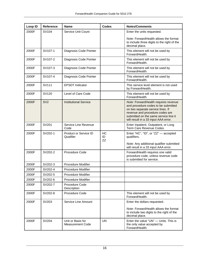| Loop ID | <b>Reference</b> | <b>Name</b>                                  | <b>Codes</b>   | <b>Notes/Comments</b>                                                                                                                                                                                                                |
|---------|------------------|----------------------------------------------|----------------|--------------------------------------------------------------------------------------------------------------------------------------------------------------------------------------------------------------------------------------|
| 2000F   | SV104            | Service Unit Count                           |                | Enter the units requested.                                                                                                                                                                                                           |
|         |                  |                                              |                | Note: ForwardHealth allows the format<br>to include three digits to the right of the<br>decimal place.                                                                                                                               |
| 2000F   | SV107-1          | Diagnosis Code Pointer                       |                | This element will not be used by<br>ForwardHealth.                                                                                                                                                                                   |
| 2000F   | SV107-2          | Diagnosis Code Pointer                       |                | This element will not be used by<br>ForwardHealth.                                                                                                                                                                                   |
| 2000F   | SV107-3          | Diagnosis Code Pointer                       |                | This element will not be used by<br>ForwardHealth.                                                                                                                                                                                   |
| 2000F   | SV107-4          | Diagnosis Code Pointer                       |                | This element will not be used by<br>ForwardHealth.                                                                                                                                                                                   |
| 2000F   | SV111            | <b>EPSDT</b> Indicator                       |                | This service level element is not used<br>by ForwardHealth.                                                                                                                                                                          |
| 2000F   | SV120            | Level of Care Code                           |                | This element will not be used by<br>ForwardHealth.                                                                                                                                                                                   |
| 2000F   | SV <sub>2</sub>  | <b>Institutional Service</b>                 |                | Note: ForwardHealth requires revenue<br>and procedure codes to be submitted<br>on two separate service lines. If<br>revenue and procedure codes are<br>submitted on the same service line it<br>will result in a 33 input AAA error. |
| 2000F   | SV201            | Service Line Revenue<br>Code                 |                | Enter Inpatient, Outpatient, or Long<br>Term Care Revenue Codes.                                                                                                                                                                     |
| 2000F   | SV202-1          | Product or Service ID<br>Qualifier           | HC<br>ID<br>ZZ | Enter "HC", "ID", or "ZZ" - accepted<br>qualifiers.<br>Note: Any additional qualifier submitted<br>will result in a 33 input AAA error.                                                                                              |
| 2000F   | SV202-2          | <b>Procedure Code</b>                        |                | ForwardHealth requires one valid<br>procedure code, unless revenue code<br>is submitted for service.                                                                                                                                 |
| 2000F   | SV202-3          | <b>Procedure Modifier</b>                    |                |                                                                                                                                                                                                                                      |
| 2000F   | SV202-4          | Procedure Modifier                           |                |                                                                                                                                                                                                                                      |
| 2000F   | SV202-5          | Procedure Modifier                           |                |                                                                                                                                                                                                                                      |
| 2000F   | SV202-6          | Procedure Modifier                           |                |                                                                                                                                                                                                                                      |
| 2000F   | SV202-7          | Procedure Code<br>Description                |                |                                                                                                                                                                                                                                      |
| 2000F   | SV202-8          | Procedure Code                               |                | This element will not be used by<br>ForwardHealth.                                                                                                                                                                                   |
| 2000F   | SV203            | Service Line Amount                          |                | Enter the dollars requested.<br>Note: ForwardHealth allows the format<br>to include two digits to the right of the<br>decimal place.                                                                                                 |
| 2000F   | SV204            | Unit or Basis for<br><b>Measurement Code</b> | <b>UN</b>      | Enter the value "UN" - Units. This is<br>the only value accepted by<br>ForwardHealth.                                                                                                                                                |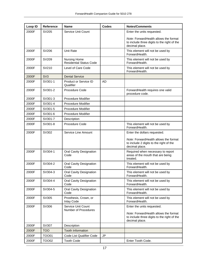| Loop ID | <b>Reference</b> | <b>Name</b>                                           | <b>Codes</b> | <b>Notes/Comments</b>                                                                                                                |
|---------|------------------|-------------------------------------------------------|--------------|--------------------------------------------------------------------------------------------------------------------------------------|
| 2000F   | SV205            | Service Unit Count                                    |              | Enter the units requested.                                                                                                           |
|         |                  |                                                       |              | Note: ForwardHealth allows the format<br>to include three digits to the right of the<br>decimal place.                               |
| 2000F   | SV206            | <b>Unit Rate</b>                                      |              | This element will not be used by<br>ForwardHealth.                                                                                   |
| 2000F   | SV209            | <b>Nursing Home</b><br><b>Residential Status Code</b> |              | This element will not be used by<br>ForwardHealth.                                                                                   |
| 2000F   | SV210            | Level of Care Code                                    |              | This element will not be used by<br>ForwardHealth.                                                                                   |
| 2000F   | SV <sub>3</sub>  | <b>Dental Service</b>                                 |              |                                                                                                                                      |
| 2000F   | SV301-1          | Product or Service ID<br>Qualifier                    | <b>AD</b>    |                                                                                                                                      |
| 2000F   | SV301-2          | Procedure Code                                        |              | ForwardHealth requires one valid<br>procedure code.                                                                                  |
| 2000F   | SV301-3          | Procedure Modifier                                    |              |                                                                                                                                      |
| 2000F   | SV301-4          | <b>Procedure Modifier</b>                             |              |                                                                                                                                      |
| 2000F   | SV301-5          | <b>Procedure Modifier</b>                             |              |                                                                                                                                      |
| 2000F   | SV301-6          | <b>Procedure Modifier</b>                             |              |                                                                                                                                      |
| 2000F   | SV301-7          | Description                                           |              |                                                                                                                                      |
| 2000F   | SV301-8          | <b>Procedure Code</b>                                 |              | This element will not be used by<br>ForwardHealth.                                                                                   |
| 2000F   | SV302            | Service Line Amount                                   |              | Enter the dollars requested.                                                                                                         |
|         |                  |                                                       |              | Note: ForwardHealth allows the format<br>to include 2 digits to the right of the<br>decimal place.                                   |
| 2000F   | SV304-1          | Oral Cavity Designation<br>Code                       |              | Required when necessary to report<br>areas of the mouth that are being<br>treated.                                                   |
| 2000F   | SV304-2          | Oral Cavity Designation<br>Code                       |              | This element will not be used by<br>ForwardHealth.                                                                                   |
| 2000F   | SV304-3          | Oral Cavity Designation<br>Code                       |              | This element will not be used by<br>ForwardHealth.                                                                                   |
| 2000F   | SV304-4          | Oral Cavity Designation<br>Code                       |              | This element will not be used by<br>ForwardHealth.                                                                                   |
| 2000F   | SV304-5          | <b>Oral Cavity Designation</b><br>Code                |              | This element will not be used by<br>ForwardHealth.                                                                                   |
| 2000F   | SV305            | Prosthesis, Crown, or<br><b>Inlay Code</b>            |              | This element will not be used by<br>ForwardHealth.                                                                                   |
| 2000F   | SV306            | Service Unit Count<br>Number of Procedures            |              | Enter the units requested.<br>Note: ForwardHealth allows the format<br>to include three digits to the right of the<br>decimal place. |
| 2000F   | SV307            | Description                                           |              |                                                                                                                                      |
| 2000F   | <b>TOO</b>       | <b>Tooth Information</b>                              |              |                                                                                                                                      |
| 2000F   | <b>TOO01</b>     | Code List Qualifier Code                              | <b>JP</b>    |                                                                                                                                      |
| 2000F   | <b>TOO02</b>     | <b>Tooth Code</b>                                     |              | Enter Tooth Code.                                                                                                                    |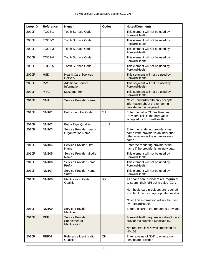| Loop ID | <b>Reference</b>  | <b>Name</b>                                               | <b>Codes</b> | <b>Notes/Comments</b>                                                                                                         |
|---------|-------------------|-----------------------------------------------------------|--------------|-------------------------------------------------------------------------------------------------------------------------------|
| 2000F   | TOO3-1            | <b>Tooth Surface Code</b>                                 |              | This element will not be used by<br>ForwardHealth.                                                                            |
| 2000F   | TOO3-2            | <b>Tooth Surface Code</b>                                 |              | This element will not be used by<br>ForwardHealth.                                                                            |
| 2000F   | TOO3-3            | <b>Tooth Surface Code</b>                                 |              | This element will not be used by<br>ForwardHealth.                                                                            |
| 2000F   | TOO3-4            | <b>Tooth Surface Code</b>                                 |              | This element will not be used by<br>ForwardHealth.                                                                            |
| 2000F   | TOO3-5            | <b>Tooth Surface Code</b>                                 |              | This element will not be used by<br>ForwardHealth.                                                                            |
| 2000F   | <b>HSD</b>        | <b>Health Care Services</b><br><b>Delivery</b>            |              | This segment will not be used by<br>ForwardHealth.                                                                            |
| 2000F   | <b>PWK</b>        | <b>Additional Service</b><br>Information                  |              | This segment will not be used by<br>ForwardHealth.                                                                            |
| 2000F   | <b>MSG</b>        | <b>Message Text</b>                                       |              | This segment will not be used by<br>ForwardHealth.                                                                            |
| 2010F   | NM <sub>1</sub>   | <b>Service Provider Name</b>                              |              | Note: ForwardHealth only accepts<br>information about the rendering<br>provider in this segment.                              |
| 2010F   | <b>NM101</b>      | <b>Entity Identifier Code</b>                             | SJ           | Enter the value "SJ" - Rendering<br>Provider. This is the only value<br>accepted by ForwardHealth.                            |
| 2010F   | NM102             | <b>Entity Type Qualifier</b>                              | 1 or 2       |                                                                                                                               |
| 2010F   | NM103             | Service Provider Last or<br><b>Organization Name</b>      |              | Enter the rendering provider's last<br>name if the provider is an individual;<br>otherwise, enter the organization's<br>name. |
| 2010F   | <b>NM104</b>      | Service Provider First<br>Name                            |              | Enter the rendering provider's first<br>name if the provider is an individual.                                                |
| 2010F   | NM <sub>105</sub> | Service Provider Middle<br>Name                           |              | This element will not be used by<br>ForwardHealth.                                                                            |
| 2010F   | NM106             | Service Provider Name<br>Prefix                           |              | This element will not be used by<br>ForwardHealth.                                                                            |
| 2010F   | <b>NM107</b>      | Service Provider Name<br>Suffix                           |              | This element will not be used by<br>ForwardHealth.                                                                            |
| 2010F   | <b>NM108</b>      | <b>Identification Code</b><br>Qualifier                   | XX           | All health care providers are required<br>to submit their NPI using value "XX".                                               |
|         |                   |                                                           |              | Non-healthcare providers are required<br>to submit the most appropriate qualifier.                                            |
|         |                   |                                                           |              | Note: This information will not be used<br>by ForwardHealth.                                                                  |
| 2010F   | NM109             | Service Provider<br>Identifier                            |              | Enter the NPI of the rendering provider.                                                                                      |
| 2010F   | <b>REF</b>        | <b>Service Provider</b><br>Supplemental<br>Identification |              | ForwardHealth requires non-healthcare<br>provider to submit a Medicaid ID.                                                    |
|         |                   |                                                           |              | Not required if NPI was submitted for<br>NM109.                                                                               |
| 2010F   | REF01             | Reference Identification<br>Qualifier                     | ZH           | Enter a value of "ZH" to enter a non-<br>healthcare provider.                                                                 |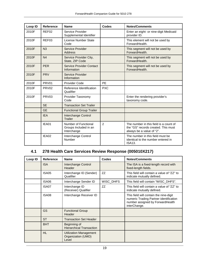| Loop ID | <b>Reference</b>  | <b>Name</b>                                                  | Codes          | <b>Notes/Comments</b>                                                                                      |
|---------|-------------------|--------------------------------------------------------------|----------------|------------------------------------------------------------------------------------------------------------|
| 2010F   | REF <sub>02</sub> | Service Provider<br>Supplemental Identifier                  |                | Enter an eight- or nine-digit Medicaid<br>provider ID.                                                     |
| 2010F   | REF <sub>03</sub> | License Number State<br>Code                                 |                | This element will not be used by<br>ForwardHealth.                                                         |
| 2010F   | N <sub>3</sub>    | Service Provider<br><b>Address</b>                           |                | This segment will not be used by<br>ForwardHealth.                                                         |
| 2010F   | N <sub>4</sub>    | Service Provider City,<br>State, ZIP Code                    |                | This segment will not be used by<br>ForwardHealth.                                                         |
| 2010F   | <b>PER</b>        | Service Provider Contact<br>Information                      |                | This segment will not be used by<br>ForwardHealth.                                                         |
| 2010F   | <b>PRV</b>        | Service Provider<br>Information                              |                |                                                                                                            |
| 2010F   | PRV01             | <b>Provider Code</b>                                         | <b>PE</b>      |                                                                                                            |
| 2010F   | PRV <sub>02</sub> | Reference Identification<br>Qualifier                        | <b>PXC</b>     |                                                                                                            |
| 2010F   | PRV <sub>03</sub> | Provider Taxonomy<br>Code                                    |                | Enter the rendering provider's<br>taxonomy code.                                                           |
|         | <b>SE</b>         | <b>Transaction Set Trailer</b>                               |                |                                                                                                            |
|         | <b>GE</b>         | <b>Functional Group Trailer</b>                              |                |                                                                                                            |
|         | <b>IEA</b>        | Interchange Control<br>Trailer                               |                |                                                                                                            |
|         | IEA01             | Number of Functional<br>Groups Included in an<br>Interchange | $\overline{2}$ | The number in this field is a count of<br>the "GS" records created. This must<br>always be a value of "2". |
|         | IEA02             | Interchange Control<br>Number                                |                | The number in this field must be<br>identical to the number entered in<br><b>ISA13.</b>                    |

### <span id="page-19-0"></span>**4.1 278 Health Care Services Review Response (005010X217)**

| Loop ID | <b>Reference</b> | <b>Name</b>                                                  | Codes     | <b>Notes/Comments</b>                                                                                                                |
|---------|------------------|--------------------------------------------------------------|-----------|--------------------------------------------------------------------------------------------------------------------------------------|
|         | <b>ISA</b>       | Interchange Control<br>Header                                |           | The ISA is a fixed-length record with<br>fixed-length fields.                                                                        |
|         | ISA05            | Interchange ID (Sender)<br>Qualifier                         | ZZ        | This field will contain a value of "ZZ" to<br>indicate mutually defined.                                                             |
|         | ISA06            | Interchange Sender ID                                        | WISC_DHFS | This field will contain "WISC DHFS".                                                                                                 |
|         | ISA07            | Interchange ID<br>(Receiver) Qualifier                       | ZZ        | This field will contain a value of "ZZ" to<br>indicate mutually defined.                                                             |
|         | ISA08            | Interchange Receiver ID                                      |           | This field will contain the nine-digit<br>numeric Trading Partner identification<br>number assigned by ForwardHealth<br>interChange. |
|         | <b>GS</b>        | <b>Functional Group</b><br>Header                            |           |                                                                                                                                      |
|         | <b>ST</b>        | <b>Transaction Set Header</b>                                |           |                                                                                                                                      |
|         | <b>BHT</b>       | Beginning of<br><b>Hierarchical Transaction</b>              |           |                                                                                                                                      |
|         | <b>HL</b>        | <b>Utilization Management</b><br>Organization (UMO)<br>Level |           |                                                                                                                                      |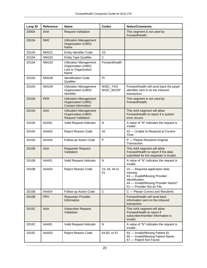| Loop ID | <b>Reference</b> | <b>Name</b>                                                                         | <b>Codes</b>           | <b>Notes/Comments</b>                                                                                                                                               |
|---------|------------------|-------------------------------------------------------------------------------------|------------------------|---------------------------------------------------------------------------------------------------------------------------------------------------------------------|
| 2000A   | AAA              | <b>Request Validation</b>                                                           |                        | This segment is not used by<br>ForwardHealth.                                                                                                                       |
| 2010A   | NM <sub>2</sub>  | <b>Utilization Management</b><br>Organization (UMO)<br>Name                         |                        |                                                                                                                                                                     |
| 2010A   | <b>NM101</b>     | <b>Entity Identifier Code</b>                                                       | X <sub>3</sub>         |                                                                                                                                                                     |
| 2010A   | NM102            | <b>Entity Type Qualifier</b>                                                        | $\overline{2}$         |                                                                                                                                                                     |
| 2010A   | NM103            | <b>Utilization Management</b><br>Organization (UMO)<br>Last or Organization<br>Name | ForwardHealth          |                                                                                                                                                                     |
| 2010A   | <b>NM108</b>     | <b>Identification Code</b><br>Qualifier                                             | PI                     |                                                                                                                                                                     |
| 2010A   | NM109            | <b>Utilization Management</b><br>Organization (UMO)<br>Identifier                   | WISC_TXIX<br>WISC_WCDP | ForwardHealth will send back the payer<br>identifier sent in on the inbound<br>transaction.                                                                         |
| 2010A   | <b>PER</b>       | <b>Utilization Management</b><br>Organization (UMO)<br><b>Contact Information</b>   |                        | This segment is not used by<br>ForwardHealth.                                                                                                                       |
| 2010A   | <b>AAA</b>       | <b>Utilization Management</b><br>Organization (UMO)<br><b>Request Validation</b>    |                        | This AAA segment will allow<br>ForwardHealth to report if a system<br>error occurs.                                                                                 |
| 2010A   | AAA01            | Valid Request Indicator                                                             | N                      | A value of "N" indicates the request is<br>invalid                                                                                                                  |
| 2010A   | AAA03            | Reject Reason Code                                                                  | 42                     | 42 - Unable to Respond at Current<br>Time.                                                                                                                          |
| 2010A   | AAA04            | Follow-up Action Code                                                               | P                      | P - Please Resubmit Original<br>Transaction.                                                                                                                        |
| 2010B   | AAA              | <b>Requester Request</b><br>Validation                                              |                        | This AAA segment will allow<br>ForwardHealth to report if the data<br>submitted for the requester is invalid.                                                       |
| 2010B   | AAA01            | Valid Request Indicator                                                             | N                      | A value of "N" indicates the request is<br>invalid.                                                                                                                 |
| 2010B   | AAA03            | Reject Reason Code                                                                  | 15, 43, 44 or<br>51    | 15 - Required application data<br>missing.<br>43 - Invalid/Missing Provider<br>Identification.<br>44 - Invalid/Missing Provider Name?<br>51 - Provider Not on File. |
| 2010B   | AAA04            | Follow-up Action Code                                                               | $\mathsf{C}$           | C - Please Correct and Resubmit.                                                                                                                                    |
| 2010B   | <b>PRV</b>       | <b>Requester Provider</b><br>Information                                            |                        | ForwardHealth will send back<br>information sent on the inbound<br>transaction.                                                                                     |
| 2010C   | AAA              | <b>Subscriber Request</b><br>Validation                                             |                        | This AAA segment will allow<br>ForwardHealth to report if<br>subscriber/member information is<br>invalid.                                                           |
| 2010C   | AAA01            | Valid Request Indicator                                                             | N                      | A value of "N" indicates the request is<br>invalid.                                                                                                                 |
| 2010C   | AAA03            | Reject Reason Code                                                                  | 64,65, or 67           | 64 - Invalid/Missing Patient ID.<br>65 - Invalid/Missing Patient Name.<br>67 - Patient Not Found.                                                                   |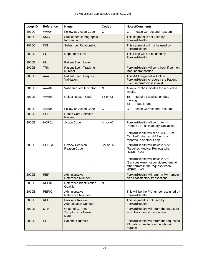| Loop ID | <b>Reference</b> | <b>Name</b>                                            | <b>Codes</b> | <b>Notes/Comments</b>                                                                                                                                                                                                 |
|---------|------------------|--------------------------------------------------------|--------------|-----------------------------------------------------------------------------------------------------------------------------------------------------------------------------------------------------------------------|
| 2010C   | AAA04            | Follow-up Action Code                                  | $\mathsf{C}$ | C - Please Correct and Resubmit.                                                                                                                                                                                      |
| 2010C   | <b>DMG</b>       | Subscriber Demographic<br>Information                  |              | This segment is not used by<br>ForwardHealth.                                                                                                                                                                         |
| 2010C   | <b>INS</b>       | <b>Subscriber Relationship</b>                         |              | This segment will not be used by<br>ForwardHealth.                                                                                                                                                                    |
| 2000D   | <b>HL</b>        | Dependent Level                                        |              | This Loop will not be used by<br>ForwardHealth.                                                                                                                                                                       |
| 2000E   | <b>HL</b>        | <b>Patient Event Level</b>                             |              |                                                                                                                                                                                                                       |
| 2000E   | <b>TRN</b>       | <b>Patient Event Tracking</b><br>Number                |              | ForwardHealth will send back if sent on<br>inbound transaction.                                                                                                                                                       |
| 2000E   | AAA              | <b>Patient Event Request</b><br>Validation             |              | This AAA segment will allow<br>ForwardHealth to report if the Patient<br>Event information is invalid.                                                                                                                |
| 2010E   | AAA01            | Valid Request Indicator                                | N            | A value of "N" indicates the request is<br>invalid.                                                                                                                                                                   |
| 2010E   | AAA03            | Reject Reason Code                                     | 15 or 33     | 15 - Required application data<br>missing.<br>33 - Input Errors.                                                                                                                                                      |
| 2010E   | AAA04            | Follow-up Action Code                                  | $\mathsf{C}$ | C - Please Correct and Resubmit.                                                                                                                                                                                      |
| 2000E   | <b>HCR</b>       | <b>Health Care Services</b><br>Review                  |              |                                                                                                                                                                                                                       |
| 2000E   | HCR01            | <b>Action Code</b>                                     | A4 or A3     | ForwardHealth will send "A4 -<br>Pended", for satisfactory transaction.<br>ForwardHealth will send "A3 - Not<br>Certified" when an AAA error is<br>reported in another Loop.                                          |
| 2000E   | HCR03            | <b>Review Decision</b><br>Reason Code                  | OV or 25     | ForwardHealth will indicate "OV"<br>(Requires Medical Review) when<br>$HCR01 = A4.$<br>ForwardHealth will indicate "25"<br>(Services were not considered due to<br>other errors in the request) when<br>$HCR01 = A3.$ |
| 2000E   | <b>REF</b>       | Administrative<br><b>Reference Number</b>              |              | ForwardHealth will return a PA number<br>on all satisfactory transactions.                                                                                                                                            |
| 2000E   | REF01            | Reference Identification<br>Qualifier                  | <b>NT</b>    |                                                                                                                                                                                                                       |
| 2000E   | REF02            | Administrative<br><b>Reference Number</b>              |              | This will be the PA number assigned by<br>ForwardHealth.                                                                                                                                                              |
| 2000E   | REF              | <b>Previous Review</b><br><b>Authorization Number</b>  |              | This segment is not used by<br>ForwardHealth.                                                                                                                                                                         |
| 2000E   | <b>DTP</b>       | <b>Onset of Current</b><br>Symptoms or Illness<br>Date |              | ForwardHealth will return the data sent<br>in on the inbound transaction.                                                                                                                                             |
| 2000E   | H <sub>II</sub>  | <b>Patient Diagnosis</b>                               |              | ForwardHealth will return the requested<br>PA date submitted on the inbound<br>request.                                                                                                                               |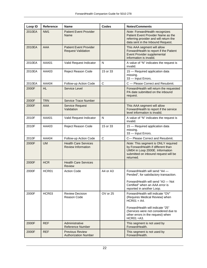| Loop ID | <b>Reference</b>  | <b>Name</b>                                                | <b>Codes</b> | <b>Notes/Comments</b>                                                                                                                                             |
|---------|-------------------|------------------------------------------------------------|--------------|-------------------------------------------------------------------------------------------------------------------------------------------------------------------|
| 2010EA  | NM <sub>1</sub>   | <b>Patient Event Provider</b><br>Name                      |              | Note: ForwardHealth recognizes<br>Patient Event Provider Name as the<br>referring provider and will return the<br>data sent in the Inbound Request.               |
| 2010EA  | AAA               | <b>Patient Event Provider</b><br><b>Request Validation</b> |              | This AAA segment will allow<br>ForwardHealth to report if the Patient<br>Event Provider supplemental<br>information is invalid.                                   |
| 2010EA  | AAA01             | Valid Request Indicator                                    | N            | A value of "N" indicates the request is<br>invalid.                                                                                                               |
| 2010EA  | AAA03             | Reject Reason Code                                         | 15 or 33     | 15 - Required application data<br>missing.<br>33 - Input Errors.                                                                                                  |
| 2010EA  | AAA04             | Follow-up Action Code                                      | $\mathsf{C}$ | C - Please Correct and Resubmit.                                                                                                                                  |
| 2000F   | <b>HL</b>         | Service Level                                              |              | ForwardHealth will return the requested<br>PA date submitted on the inbound<br>request.                                                                           |
| 2000F   | <b>TRN</b>        | <b>Service Trace Number</b>                                |              |                                                                                                                                                                   |
| 2000F   | AAA               | Service Request<br>Validation                              |              | This AAA segment will allow<br>ForwardHealth to report if the service<br>level information is invalid.                                                            |
| 2010F   | AAA01             | Valid Request Indicator                                    | N            | A value of "N" indicates the request is<br>invalid.                                                                                                               |
| 2010F   | AAA03             | Reject Reason Code                                         | 15 or 33     | 15 - Required application data<br>missing.<br>33 - Input Errors.                                                                                                  |
| 2010F   | AAA04             | Follow-up Action Code                                      | $\mathsf{C}$ | C- Please Correct and Resubmit.                                                                                                                                   |
| 2000F   | <b>UM</b>         | <b>Health Care Services</b><br><b>Review Information</b>   |              | Note: This segment is ONLY required<br>by ForwardHealth if different than<br>UM04 in Loop 2000E. Information<br>submitted on inbound request will be<br>returned. |
| 2000F   | <b>HCR</b>        | <b>Health Care Services</b><br><b>Review</b>               |              |                                                                                                                                                                   |
| 2000F   | HCR01             | <b>Action Code</b>                                         | A4 or A3     | ForwardHealth will send "A4 -<br>Pended", for satisfactory transaction.<br>ForwardHealth will send "A3 - Not<br>Certified" when an AAA error is                   |
|         |                   |                                                            |              | reported in another Loop.                                                                                                                                         |
| 2000F   | HCR <sub>03</sub> | <b>Review Decision</b><br>Reason Code                      | $OV$ or $25$ | ForwardHealth will indicate "OV"<br>(Requires Medical Review) when<br>$HCR01 = A4.$                                                                               |
|         |                   |                                                            |              | ForwardHealth will indicate "25"<br>(Services were not considered due to<br>other errors in the request) when<br>$HCR01 = A3.$                                    |
| 2000F   | <b>REF</b>        | Administrative<br><b>Reference Number</b>                  |              | This segment is not used by<br>ForwardHealth.                                                                                                                     |
| 2000F   | <b>REF</b>        | <b>Previous Review</b><br><b>Authorization Number</b>      |              | This segment is not used by<br>ForwardHealth.                                                                                                                     |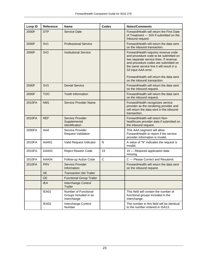| Loop ID | <b>Reference</b> | <b>Name</b>                                                  | <b>Codes</b> | <b>Notes/Comments</b>                                                                                                                                                                                                                                                                                        |
|---------|------------------|--------------------------------------------------------------|--------------|--------------------------------------------------------------------------------------------------------------------------------------------------------------------------------------------------------------------------------------------------------------------------------------------------------------|
| 2000F   | <b>DTP</b>       | <b>Service Date</b>                                          |              | Forward Health will return the First Date<br>of Treatment - SOI if submitted on the<br>Inbound request.                                                                                                                                                                                                      |
| 2000F   | SV <sub>1</sub>  | <b>Professional Service</b>                                  |              | ForwardHealth will return the data sent<br>on the inbound transaction.                                                                                                                                                                                                                                       |
| 2000F   | SV <sub>2</sub>  | <b>Institutional Service</b>                                 |              | ForwardHealth requires revenue code<br>and procedure code to be submitted on<br>two separate service lines. If revenue<br>and procedure codes are submitted on<br>the same service line it will result in a<br>33 input AAA error.<br>ForwardHealth will return the data sent<br>on the inbound transaction. |
| 2000F   | SV <sub>3</sub>  | <b>Dental Service</b>                                        |              | ForwardHealth will return the data sent<br>on the inbound request.                                                                                                                                                                                                                                           |
| 2000F   | <b>TOO</b>       | <b>Tooth Information</b>                                     |              | Forward Health will return the data sent<br>on the inbound request.                                                                                                                                                                                                                                          |
| 2010FA  | NM <sub>1</sub>  | <b>Service Provider Name</b>                                 |              | ForwardHealth recognizes service<br>provider as the rendering provider and<br>will return the data sent in the inbound<br>transaction.                                                                                                                                                                       |
| 2010FA  | <b>REF</b>       | Service Provider<br>Supplemental<br>Identification           |              | ForwardHealth will return Non-<br>healthcare provider data if submitted on<br>the inbound request.                                                                                                                                                                                                           |
| 2000FA  | AAA              | Service Provider<br><b>Request Validation</b>                |              | This AAA segment will allow<br>ForwardHealth to report if the service<br>provider information is invalid.                                                                                                                                                                                                    |
| 2010FA  | AAA01            | Valid Request Indicator                                      | N            | A value of "N" indicates the request is<br>invalid.                                                                                                                                                                                                                                                          |
| 2010FA  | AAA03            | Reject Reason Code                                           | 15           | 15 - Required application data<br>missing.                                                                                                                                                                                                                                                                   |
| 2010FA  | AAA04            | Follow-up Action Code                                        | $\mathsf{C}$ | C - Please Correct and Resubmit.                                                                                                                                                                                                                                                                             |
| 2010FA  | <b>PRV</b>       | Service Provider<br>Information                              |              | ForwardHealth will return the data sent<br>on the inbound request.                                                                                                                                                                                                                                           |
|         | <b>SE</b>        | <b>Transaction Set Trailer</b>                               |              |                                                                                                                                                                                                                                                                                                              |
|         | <b>GE</b>        | <b>Functional Group Trailer</b>                              |              |                                                                                                                                                                                                                                                                                                              |
|         | <b>IEA</b>       | Interchange Control<br><b>Trailer</b>                        |              |                                                                                                                                                                                                                                                                                                              |
|         | IEA01            | Number of Functional<br>Groups Included in an<br>Interchange |              | This field will contain the number of<br>functional groups included in the<br>interchange.                                                                                                                                                                                                                   |
|         | IEA02            | Interchange Control<br>Number                                |              | The number in this field will be identical<br>to the number entered in ISA13.                                                                                                                                                                                                                                |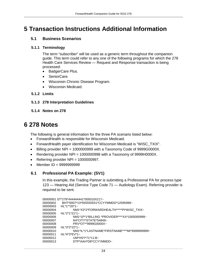### <span id="page-24-0"></span>**5 Transaction Instructions Additional Information**

### <span id="page-24-1"></span>**5.1 Business Scenarios**

#### <span id="page-24-2"></span>**5.1.1 Terminology**

The term "subscriber" will be used as a generic term throughout the companion guide. This term could refer to any one of the following programs for which the 278 Health Care Services Review — Request and Response transaction is being processed:

- BadgerCare Plus.
- SeniorCare.
- Wisconsin Chronic Disease Program.
- Wisconsin Medicaid.

### <span id="page-24-3"></span>**5.1.2 Limits**

- <span id="page-24-4"></span>**5.1.3 278 Interpretation Guidelines**
- <span id="page-24-5"></span>**5.1.4 Notes on 278**

### <span id="page-24-6"></span>**6 278 Notes**

The following is general information for the three PA scenario listed below:

- ForwardHealth is responsible for Wisconsin Medicaid.
- ForwardHealth payer identification for Wisconsin Medicaid is "WISC\_TXIX".
- Billing provider NPI = 1000000999 with a Taxonomy Code of 9999G0000X.
- Rendering provider NPI = 1000000998 with a Taxonomy of 9999H0000X.
- Referring provider NPI = 1000000997.
- Member ID = 9999999999

### <span id="page-24-7"></span>**6.1 Professional PA Example: (SV1)**

In this example, the Trading Partner is submitting a Professional PA for process type 123 — Hearing Aid (Service Type Code 71 — Audiology Exam). Referring provider is required to be sent.

```
00000001 ST*278*444444441*005010X217~
00000002 BHT*0007*13*555555551*CCYYMMDD*12595999~
00000003 HL*1**20*1~<br>100000004 NM
                   NM1*X3*2*FORWARDHEALTH*****PI*WISC_TXIX~
00000005 HL*2*1*21*1~
00000006 NM1*1P*1*BILLING *PROVIDER****XX*1000000999~
00000007 N4*CITY*STATE*54848~
                   PRV*OT**9999G0000X~
00000009 HL*3*2*22*1~<br>100000010 NM1*
00000010 NM1*IL*1*LASTNAME*FIRSTNAME****MI*9999999999~ 
00000011 HL*4*3*EV*1~<br>1×00000012 UM*H
00000012 UM*HS*I*71*11:B~<br>00000013 DTP*AAH*D8*CCY
                   DTP*AAH*D8*CCYYMMDD~
```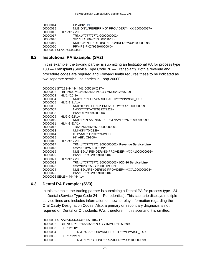00000014 HI\* ABK: H905~ 00000015 NM1\*DN\*1\*REFERRING\* PROVIDER\*\*\*\*XX\*100000097~ 00000016 HL\*5\*4\*SS\*0~ 00000017 TRN\*1\*777777771\*9000000002~ 00000018 SV1\*HC:L8690\*135.00\*UN\*1~ 00000019 NM1\*SJ\*1\*RENDERING \*PROVIDER\*\*\*\*XX\*100000998~ PRV\*PE\*PXC\*9999H0000X~ 00000021 SE\*21\*444444441~

#### <span id="page-25-0"></span>**6.2 Institutional PA Example: (SV2)**

In this example, the trading partner is submitting an Institutional PA for process type 133 — Transplant (Service Type Code 70 — Transplant). Both a revenue and procedure codes are required and ForwardHealth requires these to be indicated as two separate service line entries in Loop 2000F.

```
00000001 ST*278*444444441*005010X217~
00000002 BHT*0007*13*555555551*CCYYMMDD*12595999~
00000003 HL*1**20*1~
00000004 NM1*X3*2*FORWARDHEALTH*****PI*WISC_TXIX~
00000005 HL*2*1*21*1~
00000006 NM1*1P*1*BILLING* PROVIDER****XX*1000000999~
00000007 N4*CITY*STATE*532272222~
00000008 PRV*OT**9999G0000X~
00000009 HL*3*2*22*1~<br>100000010 NM1
00000010 NM1*IL*1*LASTNAME*FIRSTNAME****MI*9999999999~ 
          HL*4*3*EV*1~
00000012 TRN*1*666666661*9000000001~
00000013 UM*HS*I*70*21:B~<br>00000014 DTP*AAH*D8*CCY
00000014 DTP*AAH*D8*CCYYMMDD~<br>00000015 HI* ABK: C9100~
                 HI* ABK: C9100~
00000016 HL*5*4*SS*0~<br>*TRN* TRN
                 00000017 TRN*1*777777771*9000000002~ Revenue Service Line
00000018 SV2*0810**500.00*UN*1~
00000019 NM1*SJ*1* RENDERING*PROVIDER****XX*1000000998~
00000020 PRV*PE*PXC*9999H0000X~
00000021 HL*6*4*SS*0~
00000022 TRN*1*777777772*9000000003~ ICD-10 Service Line
00000023 SV2**ID:30253G0*500.00*UN*1~
00000024 NM1*SJ*1*RENDERING PROVIDER****XX*1000000998~
00000025 PRV*PE*PXC*9999H0000X~
00000026 SE*25*444444441~
```
#### <span id="page-25-1"></span>**6.3 Dental PA Example: (SV3)**

In this example, the trading partner is submitting a Dental PA for process type 124 — Dental (Service Type Code 24 — Periodontics). This scenario displays multiple service lines and includes information on how to relay information regarding the Oral Cavity Designation Codes. Also, a primary or secondary diagnosis is not required on Dental or Orthodontic PAs; therefore, in this scenario it is omitted.

```
00000001 ST*278*444444441*005010X217~
00000002 BHT*0007*13*555555551*CCYY1MMDD*12595999~
00000003 HL*1**20*1~
00000004 NM1*X3*2*FORWARDHEALTH*****PI*WISC_TXIX~
00000005 HL*2*1*21*1~
00000006 NM1*IP*1*BILLING*PROVIDER****XX*1000000999~
```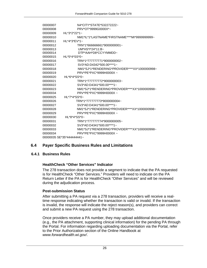| 00000007                  | N4*CITY*STATE*532272222~                       |  |  |  |
|---------------------------|------------------------------------------------|--|--|--|
| 00000008                  | PRV*OT*9999G0000X*~                            |  |  |  |
| 00000009                  | $HL$ *3*2*22*1~                                |  |  |  |
| 00000010                  | NM1*IL*1*LASTNAME*FIRSTNAME****MI*99999999999~ |  |  |  |
| 00000011                  | $HL$ *4*3* $EV$ *1~                            |  |  |  |
| 00000012                  | TRN*1*666666661*9000000001~                    |  |  |  |
| 00000013                  | UM*HS*I*24*11:B~                               |  |  |  |
| 00000014                  | DTP*AAH*D8*CCYYMMDD~                           |  |  |  |
| 00000015                  | $HL$ *5*4*SS*0~                                |  |  |  |
| 00000016                  | TRN*1*777777771*9000000002~                    |  |  |  |
| 00000017                  | SV3*AD:D4342*500.00****1~                      |  |  |  |
| 00000018                  | NM1*SJ*1*RENDERING*PROVIDER****XX*1000000998~  |  |  |  |
| 00000019                  | $PRV*PE*PXC*9999H0000X \approx$                |  |  |  |
| 00000020                  | HL*6*4*SS*0~                                   |  |  |  |
| 00000021                  | TRN*1*777777772*9000000003~                    |  |  |  |
| 00000022                  | SV3*AD:D4341*500.00****1~                      |  |  |  |
| 00000023                  | NM1*SJ*1*RENDERING*PROVIDER****XX*1000000998~  |  |  |  |
| 00000034                  | $PRV*PE*PXC*9999H0000X \sim$                   |  |  |  |
| 00000025                  | $HL*7*4*SS*0-$                                 |  |  |  |
| 00000026                  | TRN*1*777777773*9000000004~                    |  |  |  |
| 00000027                  | $SV3*AD: D4341*500.00***1-$                    |  |  |  |
| 00000028                  | NM1*SJ*1*RENDERING*PROVIDER****XX*1000000998~  |  |  |  |
| 00000029                  | $PRV*PE*PXC*9999H0000X \approx$                |  |  |  |
| 00000030                  | $HL$ *8*4*SS*0~                                |  |  |  |
| 00000031                  | TRN*1*777777774*9000000005~                    |  |  |  |
| 00000032                  | SV3*AD:D4341*500.00****1~                      |  |  |  |
| 00000033                  | NM1*SJ*1*RENDERING*PROVIDER****XX*1000000998~  |  |  |  |
| 00000034                  | PRV*PE*PXC*9999H0000X~                         |  |  |  |
| 00000035 SE*35*444444441~ |                                                |  |  |  |

#### <span id="page-26-0"></span>**6.4 Payer Specific Business Rules and Limitations**

#### <span id="page-26-1"></span>**6.4.1 Business Rules**

#### **HealthCheck "Other Services" Indicator**

The 278 transaction does not provide a segment to indicate that the PA requested is for HealthCheck "Other Services." Providers will need to indicate on the PA Return Letter if the PA is for HealthCheck "Other Services" and will be reviewed during the adjudication process.

#### **Post-submission Status**

After submitting a PA request via a 278 transaction, providers will receive a realtime response indicating whether the transaction is valid or invalid. If the transaction is invalid, the response will indicate the reject reason(s), and providers can correct and submit a new PA request using the 278 transaction.

Once providers receive a PA number, they may upload additional documentation (e.g., the PA attachment, supporting clinical information) for the pending PA through the Portal. For information regarding uploading documentation via the Portal, refer to the Prior Authorization section of the Online Handbook at *www.forwardhealth.wi.gov/*.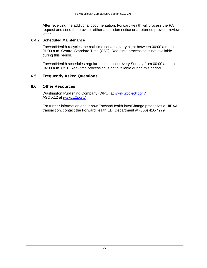After receiving the additional documentation, ForwardHealth will process the PA request and send the provider either a decision notice or a returned provider review letter.

#### <span id="page-27-0"></span>**6.4.2 Scheduled Maintenance**

ForwardHealth recycles the real-time servers every night between 00:00 a.m. to 01:00 a.m. Central Standard Time (CST). Real-time processing is not available during this period.

ForwardHealth schedules regular maintenance every Sunday from 00:00 a.m. to 04:00 a.m. CST. Real-time processing is not available during this period.

### <span id="page-27-1"></span>**6.5 Frequently Asked Questions**

#### <span id="page-27-2"></span>**6.6 Other Resources**

Washington Publishing Company (WPC) at *www.wpc-edi.com/.* ASC X12 at *www.x12.org/.* 

For further information about how ForwardHealth interChange processes a HIPAA transaction, contact the ForwardHealth EDI Department at (866) 416-4979.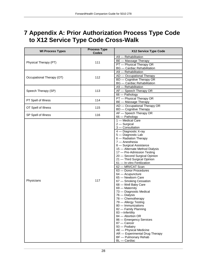### <span id="page-28-0"></span>**7 Appendix A: Prior Authorization Process Type Code to X12 Service Type Code Cross-Walk**

| <b>WI Process Types</b>                                                                 | <b>Process Type</b><br><b>Codes</b> | X12 Service Type Code              |
|-----------------------------------------------------------------------------------------|-------------------------------------|------------------------------------|
|                                                                                         |                                     | A9 - Rehabilitation                |
|                                                                                         |                                     | BE - Massage Therapy               |
|                                                                                         | 111                                 | PT - Physical Therapy OR           |
|                                                                                         |                                     | <b>BG</b> - Cardiac Rehabilitation |
|                                                                                         |                                     | A9 - Rehabilitation                |
|                                                                                         |                                     | AD - Occupational Therapy          |
|                                                                                         | 112                                 | BD - Cognitive Therapy OR          |
|                                                                                         |                                     | <b>BG</b> - Cardiac Rehabilitation |
|                                                                                         |                                     | A9 - Rehabilitation                |
|                                                                                         | 113                                 | AF - Speech Therapy OR             |
| Physical Therapy (PT)<br>Occupational Therapy (OT)<br>Speech Therapy (SP)<br>Physicians |                                     | 66 - Pathology                     |
|                                                                                         |                                     | PT - Physical Therapy OR           |
| PT Spell of Illness                                                                     | 114                                 | <b>BE</b> - Massage Therapy        |
|                                                                                         |                                     | AD - Occupational Therapy OR       |
| OT Spell of Illness                                                                     | 115                                 | <b>BD</b> - Cognitive Therapy      |
|                                                                                         |                                     | AF - Speech Therapy OR             |
| SP Spell of Illness                                                                     | 116                                 | 66 - Pathology                     |
|                                                                                         |                                     | 1 - Medical Care                   |
|                                                                                         |                                     | $2 -$ Surgical                     |
|                                                                                         |                                     | 3 - Consultation                   |
|                                                                                         |                                     | 4 - Diagnostic X-ray               |
|                                                                                         |                                     | 5 - Diagnostic Lab                 |
|                                                                                         |                                     | 6 - Radiation Therapy              |
|                                                                                         |                                     | 7 - Anesthesia                     |
|                                                                                         |                                     | 8 - Surgical Assistance            |
|                                                                                         |                                     | 15 - Alternate Method Dialysis     |
|                                                                                         |                                     | 17 - Pre-Admission Testing         |
|                                                                                         |                                     | 20 - Second Surgical Opinion       |
|                                                                                         |                                     | 21 - Third Surgical Opinion        |
|                                                                                         |                                     | 61 - In-vitro Fertilization        |
|                                                                                         |                                     | 62 - MRI/CAT Scan                  |
|                                                                                         |                                     | 63 - Donor Procedures              |
|                                                                                         |                                     | 64 - Acupuncture                   |
|                                                                                         |                                     | 65 - Newborn Care                  |
|                                                                                         | 117                                 | 67 - Smoking Cessation             |
|                                                                                         |                                     | 68 - Well Baby Care                |
|                                                                                         |                                     | 69 - Maternity                     |
|                                                                                         |                                     | 73 - Diagnostic Medical            |
|                                                                                         |                                     | 76 - Dialysis                      |
|                                                                                         |                                     | 78 - Chemotherapy                  |
|                                                                                         |                                     | 79 - Allergy Testing               |
|                                                                                         |                                     | 80 - Immunizations                 |
|                                                                                         |                                     | 82 - Family Planning               |
|                                                                                         |                                     | 83 - Infertility                   |
|                                                                                         |                                     | 84 - Abortion OR                   |
|                                                                                         |                                     | 86 - Emergency Services            |
|                                                                                         |                                     | 87 - Cancer                        |
|                                                                                         |                                     | 93 - Podiatry                      |
|                                                                                         |                                     | AE - Physical Medicine             |
|                                                                                         |                                     | AR - Experimental Drug Therapy     |
|                                                                                         |                                     | BF - Pulmonary Rehab               |
|                                                                                         |                                     | BL - Cardiac                       |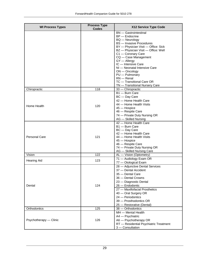| <b>WI Process Types</b> | <b>Process Type</b>                                                  | X12 Service Type Code                  |
|-------------------------|----------------------------------------------------------------------|----------------------------------------|
|                         |                                                                      | <b>BN</b> - Gastrointestinal           |
|                         |                                                                      | <b>BP</b> - Endocrine                  |
|                         |                                                                      | <b>BQ</b> - Neurology                  |
|                         |                                                                      | <b>BS</b> - Invasive Procedures        |
|                         |                                                                      | BY - Physician Visit - Office: Sick    |
|                         |                                                                      | BZ - Physician Visit - Office: Well    |
|                         |                                                                      | C1 - Coronary Care                     |
|                         |                                                                      | CQ - Case Management                   |
|                         |                                                                      | GY - Allergy                           |
|                         |                                                                      | IC - Intensive Care                    |
|                         |                                                                      | NI - Neonatal Intensive Care           |
|                         |                                                                      | $ON$ - Oncology                        |
|                         |                                                                      | PU - Pulmonary                         |
|                         |                                                                      | $RN - Renal$                           |
|                         |                                                                      | TC - Transitional Care OR              |
|                         |                                                                      | TN - Transitional Nursery Care         |
| Chiropractic            |                                                                      | 33 - Chiropractic                      |
|                         |                                                                      | $B1$ - Burn Care                       |
|                         |                                                                      | BC - Day Care                          |
|                         |                                                                      | 42 - Home Health Care                  |
| Home Health             | <b>Codes</b><br>118<br>120<br>121<br>122<br>123<br>124<br>125<br>126 | 44 - Home Health Visits                |
|                         |                                                                      | 45 - Hospice                           |
|                         |                                                                      | 46 - Respite Care                      |
|                         |                                                                      | 74 - Private Duty Nursing OR           |
|                         |                                                                      | AG - Skilled Nursing                   |
|                         |                                                                      | 42 - Home Health Care                  |
|                         |                                                                      | B1 - Burn Care                         |
|                         |                                                                      | BC - Day Care                          |
|                         |                                                                      | 42 - Home Health Care                  |
| <b>Personal Care</b>    |                                                                      | 44 - Home Health Visits                |
|                         |                                                                      | 45 - Hospice                           |
|                         |                                                                      | 46 - Respite Care                      |
|                         |                                                                      | 74 - Private Duty Nursing OR           |
|                         |                                                                      | AG - Skilled Nursing Care              |
| Vision                  |                                                                      | AL - Vision (Optometry)                |
| <b>Hearing Aid</b>      |                                                                      | 71 - Audiology Exam OR                 |
|                         |                                                                      | 77 - Otological Exam                   |
|                         |                                                                      | 28 - Adjunctive Dental Services        |
|                         |                                                                      | 37 - Dental Accident                   |
|                         |                                                                      | 35 - Dental Care                       |
|                         |                                                                      | 36 - Dental Crowns                     |
|                         |                                                                      | 23 - Diagnostic Dental                 |
| Dental                  |                                                                      | 26 - Endodontic                        |
|                         |                                                                      | 27 - Maxillofacial Prosthetics         |
|                         |                                                                      | 40 – Oral Surgery OR                   |
|                         |                                                                      | 24 - Periodontics                      |
|                         |                                                                      | 39 - Prosthodontics OR                 |
|                         |                                                                      | 25 - Restorative (Dental)              |
| Orthodontics            |                                                                      | 38 - Orthodontics                      |
|                         |                                                                      | MH - Mental Health                     |
|                         |                                                                      | A4 - Psychiatric                       |
| Psychotherapy - Clinic  |                                                                      | A6 - Psychotherapy OR                  |
|                         |                                                                      | RT - Residential Psychiatric Treatment |
|                         |                                                                      | 3 - Consultation                       |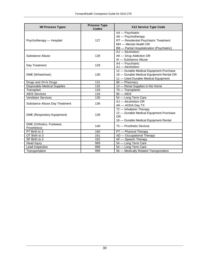| <b>WI Process Types</b>                   | <b>Process Type</b><br><b>Codes</b> | X12 Service Type Code                                                                                                                                   |
|-------------------------------------------|-------------------------------------|---------------------------------------------------------------------------------------------------------------------------------------------------------|
| Psychotherapy - Hospital                  | 127                                 | A4 - Psychiatric<br>A6 - Psychotherapy<br>RT - Residential Psychiatric Treatment<br>MH - Mental Health OR<br>BB - Partial Hospitalization (Psychiatric) |
| Substance Abuse                           | 128                                 | AJ - Alcoholism<br>AK - Drug Addiction OR<br>Al - Substance Abuse                                                                                       |
| Day Treatment                             | 129                                 | A4 - Psychiatric<br>AJ - Alcoholism                                                                                                                     |
| DME (Wheelchair)                          | 130                                 | 12 - Durable Medical Equipment Purchase<br>18 - Durable Medical Equipment Rental OR<br>11 - Used Durable Medical Equipment                              |
| Drugs and 24-hr Drugs                     | 131                                 | 88 - Pharmacy                                                                                                                                           |
| <b>Disposable Medical Supplies</b>        | 132                                 | 14 - Renal Supplies in the Home                                                                                                                         |
| Transplant                                | 133                                 | 70 - Transplants                                                                                                                                        |
| <b>AIDS Services</b>                      | 134                                 | $85 -$ AIDS                                                                                                                                             |
| <b>Ventilator Services</b>                | 135                                 | 54 - Long Term Care                                                                                                                                     |
| Substance Abuse Day Treatment             | 136                                 | AJ - Alcoholism OR<br>AK - AODA Day TX                                                                                                                  |
| <b>DME</b> (Respiratory Equipment)        | 139                                 | 72 - Inhalation Therapy<br>12 - Durable Medical Equipment Purchase<br><b>OR</b><br>18 - Durable Medical Equipment Rental                                |
| DME (Orthotics, Footwear,<br>Prosthetics) | 140                                 | 75 - Prosthetic Devices                                                                                                                                 |
| PT Birth to 3                             | 160                                 | PT - Physical Therapy                                                                                                                                   |
| OT Birth to 3                             | 161                                 | AD - Occupational Therapy                                                                                                                               |
| SP Birth to 3                             | 162                                 | AF - Speech Therapy                                                                                                                                     |
| Head Injury                               | 999                                 | 54 – Long Term Care                                                                                                                                     |
| Lead Inspection                           | 999                                 | 54 - Long Term Care                                                                                                                                     |
| Transportation                            | 999                                 | 56 - Medically Related Transportation                                                                                                                   |